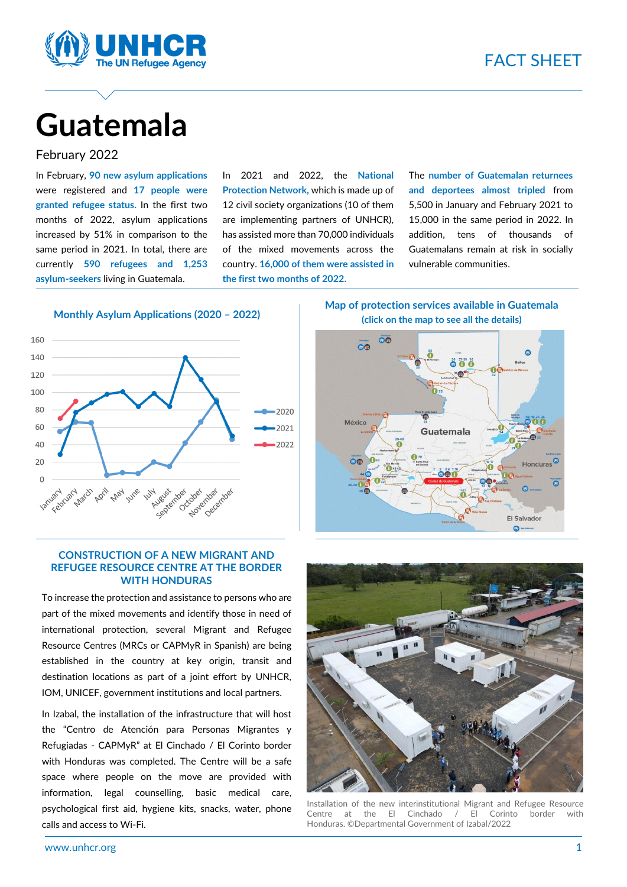

# **Guatemala**

#### February 2022

In February, **90 new asylum applications** were registered and **17 people were granted refugee status.** In the first two months of 2022, asylum applications increased by 51% in comparison to the same period in 2021. In total, there are currently **590 refugees and 1,253 asylum-seekers** living in Guatemala.

In 2021 and 2022, the **National Protection Network,** which is made up of 12 civil society organizations (10 of them are implementing partners of UNHCR), has assisted more than 70,000 individuals of the mixed movements across the country. **16,000 of them were assisted in the first two months of 2022.**

The **number of Guatemalan returnees and deportees almost tripled** from 5,500 in January and February 2021 to 15,000 in the same period in 2022. In addition, tens of thousands of Guatemalans remain at risk in socially vulnerable communities.

**Monthly Asylum Applications (2020 – 2022)**



#### **CONSTRUCTION OF A NEW MIGRANT AND REFUGEE RESOURCE CENTRE AT THE BORDER WITH HONDURAS**

To increase the protection and assistance to persons who are part of the mixed movements and identify those in need of international protection, several Migrant and Refugee Resource Centres (MRCs or CAPMyR in Spanish) are being established in the country at key origin, transit and destination locations as part of a joint effort by UNHCR, IOM, UNICEF, government institutions and local partners.

In Izabal, the installation of the infrastructure that will host the "Centro de Atención para Personas Migrantes y Refugiadas - CAPMyR" at El Cinchado / El Corinto border with Honduras was completed. The Centre will be a safe space where people on the move are provided with information, legal counselling, basic medical care, psychological first aid, hygiene kits, snacks, water, phone calls and access to Wi-Fi.

**Map of protection services available in Guatemala (click on the map to see all the details)**





Installation of the new interinstitutional Migrant and Refugee Resource Centre at the El Cinchado / El Corinto border with Honduras. ©Departmental Government of Izabal/2022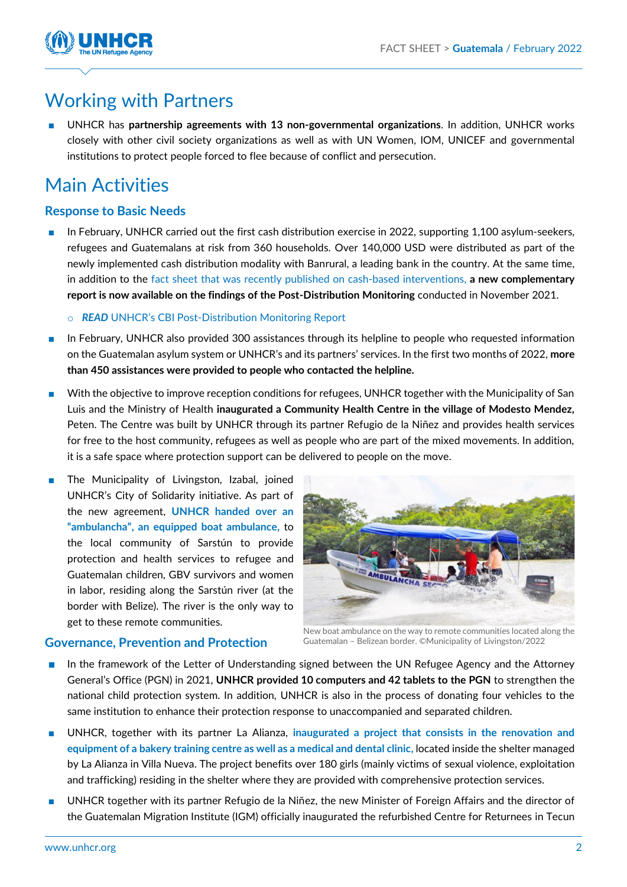

## Working with Partners

■ UNHCR has **partnership agreements with 13 non-governmental organizations**. In addition, UNHCR works closely with other civil society organizations as well as with UN Women, IOM, UNICEF and governmental institutions to protect people forced to flee because of conflict and persecution.

# Main Activities

### **Response to Basic Needs**

In February, UNHCR carried out the first cash distribution exercise in 2022, supporting 1,100 asylum-seekers, refugees and Guatemalans at risk from 360 households. Over 140,000 USD were distributed as part of the newly implemented cash distribution modality with Banrural, a leading bank in the country. At the same time, in addition to the fact sheet that was recently [published on cash-based interventions,](https://reliefweb.int/sites/reliefweb.int/files/resources/UNHCR%20Guatemala%20Hoja%20Informativa%20CBI%20Enero%202022.pdf) **a new complementary report is now available on the findings of the Post-Distribution Monitoring** conducted in November 2021.

o *READ* UNHCR's CBI Post[-Distribution Monitoring Report](https://reporting.unhcr.org/document/1982)

- In February, UNHCR also provided 300 assistances through its helpline to people who requested information on the Guatemalan asylum system or UNHCR's and its partners' services. In the first two months of 2022, **more than 450 assistances were provided to people who contacted the helpline.**
- With the objective to improve reception conditions for refugees, UNHCR together with the Municipality of San Luis and the Ministry of Health **inaugurated a Community Health Centre in the village of Modesto Mendez,**  Peten. The Centre was built by UNHCR through its partner Refugio de la Niñez and provides health services for free to the host community, refugees as well as people who are part of the mixed movements. In addition, it is a safe space where protection support can be delivered to people on the move.
- The Municipality of Livingston, Izabal, joined UNHCR's City of Solidarity initiative. As part of the new agreement, **[UNHCR handed over an](https://twitter.com/RepACNURGuate/status/1497234270066196490)  "ambulancha"[, an equipped boat ambulance,](https://twitter.com/RepACNURGuate/status/1497234270066196490)** to the local community of Sarstún to provide protection and health services to refugee and Guatemalan children, GBV survivors and women in labor, residing along the Sarstún river (at the border with Belize). The river is the only way to get to these remote communities.



#### **Governance, Prevention and Protection**

New boat ambulance on the way to remote communities located along the Guatemalan – Belizean border. ©Municipality of Livingston/2022

- In the framework of the Letter of Understanding signed between the UN Refugee Agency and the Attorney General's Office (PGN) in 2021, **UNHCR provided 10 computers and 42 tablets to the PGN** to strengthen the national child protection system. In addition, UNHCR is also in the process of donating four vehicles to the same institution to enhance their protection response to unaccompanied and separated children.
- UNHCR, together with its partner La Alianza, *inaugurated a project that consists in the renovation and* **[equipment of a bakery training centre](https://twitter.com/LaAlianzaGT/status/1492252868035989505) as well as a medical and dental clinic,** located inside the shelter managed by La Alianza in Villa Nueva. The project benefits over 180 girls (mainly victims of sexual violence, exploitation and trafficking) residing in the shelter where they are provided with comprehensive protection services.
- UNHCR together with its partner Refugio de la Niñez, the new Minister of Foreign Affairs and the director of the Guatemalan Migration Institute (IGM) officially inaugurated the refurbished Centre for Returnees in Tecun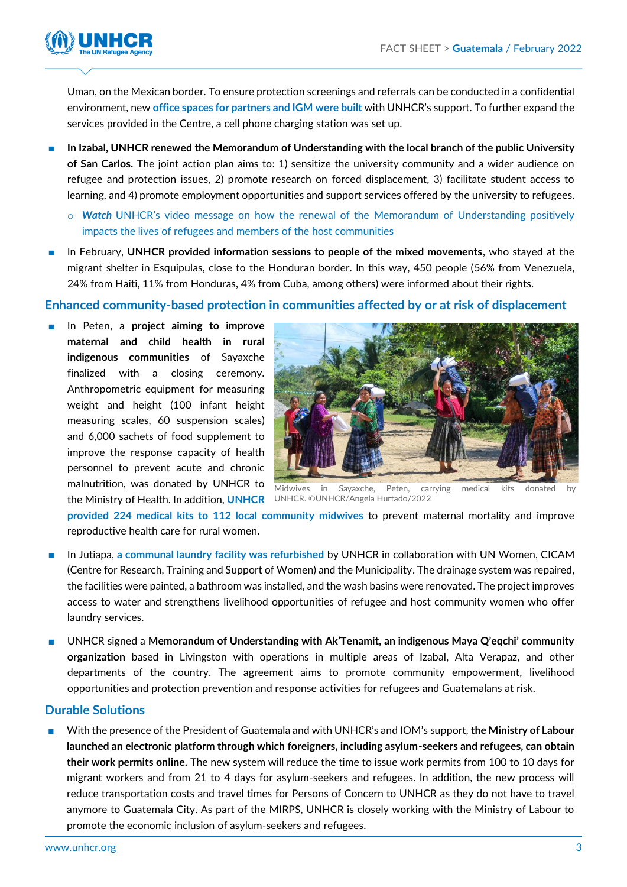

Uman, on the Mexican border. To ensure protection screenings and referrals can be conducted in a confidential environment, new **office [spaces for partners and IGM were built](https://twitter.com/RepACNURGuate/status/1493671219153018885)** with UNHCR's support. To further expand the services provided in the Centre, a cell phone charging station was set up.

- **In Izabal, UNHCR renewed the Memorandum of Understanding with the local branch of the public University of San Carlos.** The joint action plan aims to: 1) sensitize the university community and a wider audience on refugee and protection issues, 2) promote research on forced displacement, 3) facilitate student access to learning, and 4) promote employment opportunities and support services offered by the university to refugees.
	- o *Watch* UNHCR's [video message on how the renewal of the Memorandum of Understanding positively](https://twitter.com/cunizab/status/1496273900241629189?s=20&t=Lw0JOotI3TbVCqPkYJ_yBQ)  impacts the lives [of refugees and members of the host communities](https://twitter.com/cunizab/status/1496273900241629189?s=20&t=Lw0JOotI3TbVCqPkYJ_yBQ)
- In February, **UNHCR provided information sessions to people of the mixed movements**, who stayed at the migrant shelter in Esquipulas, close to the Honduran border. In this way, 450 people (56% from Venezuela, 24% from Haiti, 11% from Honduras, 4% from Cuba, among others) were informed about their rights.

#### **Enhanced community-based protection in communities affected by or at risk of displacement**

■ In Peten, a **project aiming to improve maternal and child health in rural indigenous communities** of Sayaxche finalized with a closing ceremony. Anthropometric equipment for measuring weight and height (100 infant height measuring scales, 60 suspension scales) and 6,000 sachets of food supplement to improve the response capacity of health personnel to prevent acute and chronic malnutrition, was donated by UNHCR to the Ministry of Health. In addition, **[UNHCR](https://twitter.com/RepACNURGuate/status/1494772175726915586)**  UNHCR. ©UNHCR/Angela Hurtado/2022



Midwives in Sayaxche, Peten, carrying medical kits donated by

**provided [224 medical kits to 112 local community midwives](https://twitter.com/RepACNURGuate/status/1494772175726915586)** to prevent maternal mortality and improve reproductive health care for rural women.

- In Jutiapa, [a communal laundry facility was refurbished](https://www.facebook.com/MuniJutiapa/posts/3255433421377279) by UNHCR in collaboration with UN Women, CICAM (Centre for Research, Training and Support of Women) and the Municipality. The drainage system was repaired, the facilities were painted, a bathroom was installed, and the wash basins were renovated. The project improves access to water and strengthens livelihood opportunities of refugee and host community women who offer laundry services.
- UNHCR signed a **Memorandum of Understanding with Ak'Tenamit, an indigenous Maya Q'eqchi' community organization** based in Livingston with operations in multiple areas of Izabal, Alta Verapaz, and other departments of the country. The agreement aims to promote community empowerment, livelihood opportunities and protection prevention and response activities for refugees and Guatemalans at risk.

#### **Durable Solutions**

■ With the presence of the President of Guatemala and with UNHCR's and IOM's support, **the Ministry of Labour launched an electronic platform through which foreigners, including asylum-seekers and refugees, can obtain their work permits online.** The new system will reduce the time to issue work permits from 100 to 10 days for migrant workers and from 21 to 4 days for asylum-seekers and refugees. In addition, the new process will reduce transportation costs and travel times for Persons of Concern to UNHCR as they do not have to travel anymore to Guatemala City. As part of the MIRPS, UNHCR is closely working with the Ministry of Labour to promote the economic inclusion of asylum-seekers and refugees.